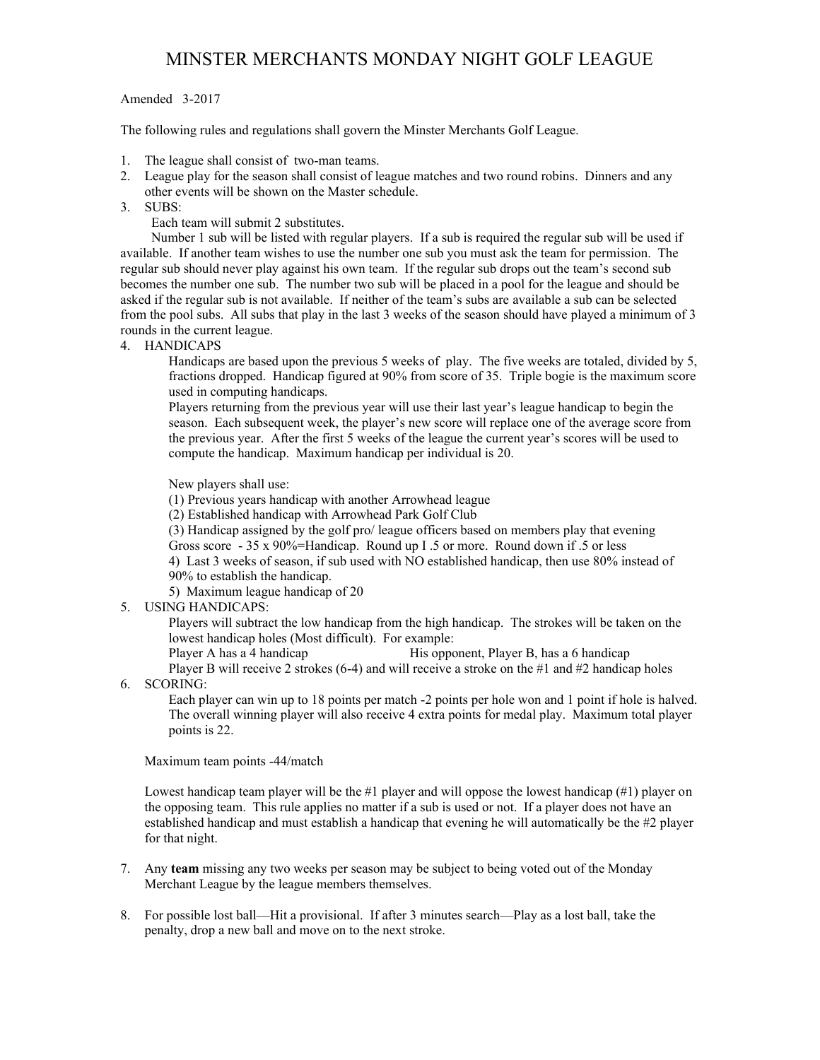# MINSTER MERCHANTS MONDAY NIGHT GOLF LEAGUE

# Amended 3-2017

The following rules and regulations shall govern the Minster Merchants Golf League.

- 1. The league shall consist of two-man teams.
- 2. League play for the season shall consist of league matches and two round robins. Dinners and any other events will be shown on the Master schedule.
- 3. SUBS:

Each team will submit 2 substitutes.

 Number 1 sub will be listed with regular players. If a sub is required the regular sub will be used if available. If another team wishes to use the number one sub you must ask the team for permission. The regular sub should never play against his own team. If the regular sub drops out the team's second sub becomes the number one sub. The number two sub will be placed in a pool for the league and should be asked if the regular sub is not available. If neither of the team's subs are available a sub can be selected from the pool subs. All subs that play in the last 3 weeks of the season should have played a minimum of 3 rounds in the current league.

4. HANDICAPS

Handicaps are based upon the previous 5 weeks of play. The five weeks are totaled, divided by 5, fractions dropped. Handicap figured at 90% from score of 35. Triple bogie is the maximum score used in computing handicaps.

Players returning from the previous year will use their last year's league handicap to begin the season. Each subsequent week, the player's new score will replace one of the average score from the previous year. After the first 5 weeks of the league the current year's scores will be used to compute the handicap. Maximum handicap per individual is 20.

New players shall use:

(1) Previous years handicap with another Arrowhead league

(2) Established handicap with Arrowhead Park Golf Club

(3) Handicap assigned by the golf pro/ league officers based on members play that evening Gross score - 35 x 90%=Handicap. Round up I .5 or more. Round down if .5 or less 4) Last 3 weeks of season, if sub used with NO established handicap, then use 80% instead of 90% to establish the handicap.

5) Maximum league handicap of 20

5. USING HANDICAPS:

Players will subtract the low handicap from the high handicap. The strokes will be taken on the lowest handicap holes (Most difficult). For example:

Player A has a 4 handicap His opponent, Player B, has a 6 handicap

Player B will receive 2 strokes (6-4) and will receive a stroke on the #1 and #2 handicap holes

6. SCORING:

Each player can win up to 18 points per match -2 points per hole won and 1 point if hole is halved. The overall winning player will also receive 4 extra points for medal play. Maximum total player points is 22.

Maximum team points -44/match

Lowest handicap team player will be the #1 player and will oppose the lowest handicap (#1) player on the opposing team. This rule applies no matter if a sub is used or not. If a player does not have an established handicap and must establish a handicap that evening he will automatically be the #2 player for that night.

- 7. Any **team** missing any two weeks per season may be subject to being voted out of the Monday Merchant League by the league members themselves.
- 8. For possible lost ball—Hit a provisional. If after 3 minutes search—Play as a lost ball, take the penalty, drop a new ball and move on to the next stroke.